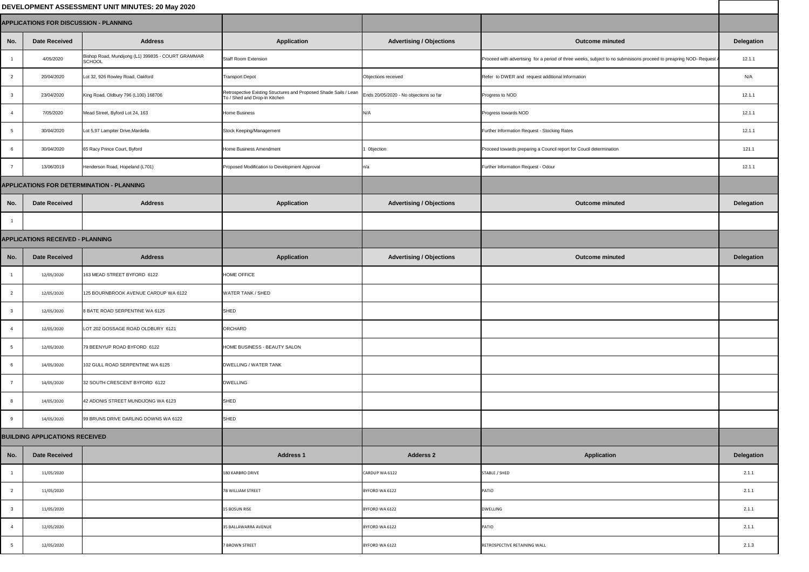| DEVELOPMENT ASSESSMENT UNIT MINUTES: 20 May 2020 |                                       |                                                              |                                                                                                    |                                        |                                                                                                                     |                   |
|--------------------------------------------------|---------------------------------------|--------------------------------------------------------------|----------------------------------------------------------------------------------------------------|----------------------------------------|---------------------------------------------------------------------------------------------------------------------|-------------------|
| <b>APPLICATIONS FOR DISCUSSION - PLANNING</b>    |                                       |                                                              |                                                                                                    |                                        |                                                                                                                     |                   |
| No.                                              | <b>Date Received</b>                  | <b>Address</b>                                               | <b>Application</b>                                                                                 | <b>Advertising / Objections</b>        | <b>Outcome minuted</b>                                                                                              | <b>Delegation</b> |
|                                                  | 4/05/2020                             | Bishop Road, Mundijong (L1) 399835 - COURT GRAMMAR<br>SCHOOL | <b>Staff Room Extension</b>                                                                        |                                        | Proceed with advertising for a period of three weeks, subject to no submisisons proceed to preapring NOD- Request A | 12.1.1            |
| $\overline{2}$                                   | 20/04/2020                            | Lot 32, 926 Rowley Road, Oakford                             | <b>Transport Depot</b>                                                                             | Objections received                    | Refer to DWER and request additional Information                                                                    | N/A               |
|                                                  | 23/04/2020                            | King Road, Oldbury 796 (L100) 168706                         | Retrospective Existing Structures and Proposed Shade Sails / Lean<br>To / Shed and Drop-In Kitchen | Ends 20/05/2020 - No objections so far | Progress to NOD                                                                                                     | 12.1.1            |
|                                                  | 7/05/2020                             | Mead Street, Byford Lot 24, 163                              | <b>Home Business</b>                                                                               | N/A                                    | Progress towards NOD                                                                                                | 12.1.1            |
|                                                  | 30/04/2020                            | Lot 5,97 Lampiter Drive, Mardella                            | Stock Keeping/Management                                                                           |                                        | Further Information Request - Stocking Rates                                                                        | 12.1.1            |
|                                                  | 30/04/2020                            | 65 Racy Prince Court, Byford                                 | Home Business Amendment                                                                            | 1 Objection                            | Proceed towards preparing a Council report for Coucil determination                                                 | 121.1             |
|                                                  | 13/06/2019                            | Henderson Road, Hopeland (L701)                              | Proposed Modification to Development Approval                                                      | n/a                                    | Further Information Request - Odour                                                                                 | 12.1.1            |
|                                                  |                                       | <b>APPLICATIONS FOR DETERMINATION - PLANNING</b>             |                                                                                                    |                                        |                                                                                                                     |                   |
| No.                                              | <b>Date Received</b>                  | <b>Address</b>                                               | <b>Application</b>                                                                                 | <b>Advertising / Objections</b>        | <b>Outcome minuted</b>                                                                                              | <b>Delegation</b> |
|                                                  |                                       |                                                              |                                                                                                    |                                        |                                                                                                                     |                   |
| <b>APPLICATIONS RECEIVED - PLANNING</b>          |                                       |                                                              |                                                                                                    |                                        |                                                                                                                     |                   |
| No.                                              | <b>Date Received</b>                  | <b>Address</b>                                               | <b>Application</b>                                                                                 | <b>Advertising / Objections</b>        | <b>Outcome minuted</b>                                                                                              | <b>Delegation</b> |
|                                                  | 12/05/2020                            | 163 MEAD STREET BYFORD 6122                                  | <b>HOME OFFICE</b>                                                                                 |                                        |                                                                                                                     |                   |
| $\overline{2}$                                   | 12/05/2020                            | 125 BOURNBROOK AVENUE CARDUP WA 6122                         | <b>WATER TANK / SHED</b>                                                                           |                                        |                                                                                                                     |                   |
| $\mathbf{3}$                                     | 12/05/2020                            | 8 BATE ROAD SERPENTINE WA 6125                               | SHED                                                                                               |                                        |                                                                                                                     |                   |
|                                                  | 12/05/2020                            | LOT 202 GOSSAGE ROAD OLDBURY 6121                            | ORCHARD                                                                                            |                                        |                                                                                                                     |                   |
|                                                  | 12/05/2020                            | 79 BEENYUP ROAD BYFORD 6122                                  | HOME BUSINESS - BEAUTY SALON                                                                       |                                        |                                                                                                                     |                   |
|                                                  | 14/05/2020                            | 102 GULL ROAD SERPENTINE WA 6125                             | <b>DWELLING / WATER TANK</b>                                                                       |                                        |                                                                                                                     |                   |
|                                                  | 14/05/2020                            | 32 SOUTH CRESCENT BYFORD 6122                                | <b>DWELLING</b>                                                                                    |                                        |                                                                                                                     |                   |
| 8                                                | 14/05/2020                            | 42 ADONIS STREET MUNDIJONG WA 6123                           | SHED                                                                                               |                                        |                                                                                                                     |                   |
| 9                                                | 14/05/2020                            | 99 BRUNS DRIVE DARLING DOWNS WA 6122                         | SHED                                                                                               |                                        |                                                                                                                     |                   |
|                                                  | <b>BUILDING APPLICATIONS RECEIVED</b> |                                                              |                                                                                                    |                                        |                                                                                                                     |                   |
| No.                                              | <b>Date Received</b>                  |                                                              | <b>Address 1</b>                                                                                   | <b>Adderss 2</b>                       | <b>Application</b>                                                                                                  | <b>Delegation</b> |
|                                                  | 11/05/2020                            |                                                              | 180 KARBRO DRIVE                                                                                   | CARDUP WA 6122                         | STABLE / SHED                                                                                                       | 2.1.1             |
| $\overline{2}$                                   | 11/05/2020                            |                                                              | 7B WILLIAM STREET                                                                                  | BYFORD WA 6122                         | <b>PATIO</b>                                                                                                        | 2.1.1             |
|                                                  | 11/05/2020                            |                                                              | 15 BOSUN RISE                                                                                      | BYFORD WA 6122                         | <b>DWELLING</b>                                                                                                     | 2.1.1             |
|                                                  | 12/05/2020                            |                                                              | 35 BALLAWARRA AVENUE                                                                               | BYFORD WA 6122                         | <b>PATIO</b>                                                                                                        | 2.1.1             |
|                                                  | 12/05/2020                            |                                                              | <b>7 BROWN STREET</b>                                                                              | BYFORD WA 6122                         | RETROSPECTIVE RETAINING WALL                                                                                        | 2.1.3             |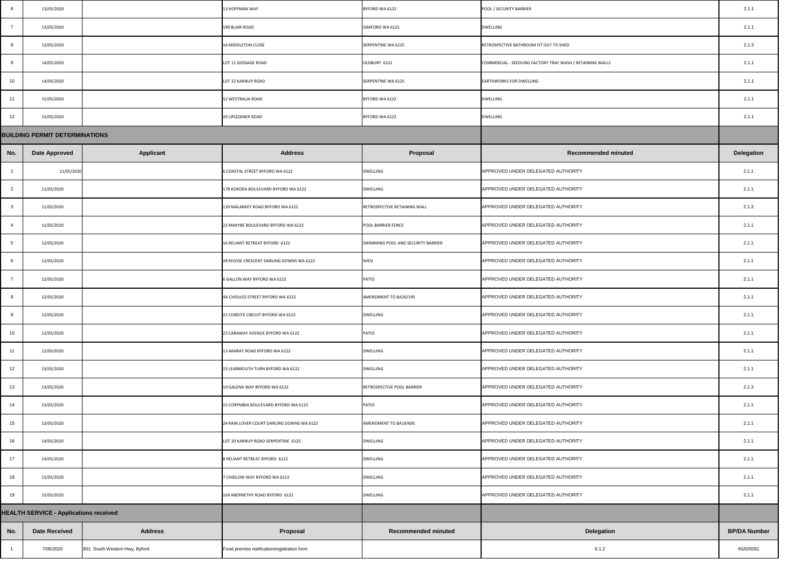| -6             | 13/05/2020                                    |                               | 13 HOFFMAN WAY                              | BYFORD WA 6122                     | POOL / SECURITY BARRIER                                   | 2.1.1               |
|----------------|-----------------------------------------------|-------------------------------|---------------------------------------------|------------------------------------|-----------------------------------------------------------|---------------------|
| $\overline{7}$ | 13/05/2020                                    |                               | 189 BLAIR ROAD                              | OAKFORD WA 6121                    | <b>DWELLING</b>                                           | 2.1.1               |
| - 8            | 13/05/2020                                    |                               | 16 MIDDLETON CLOSE                          | SERPENTINE WA 6125                 | RETROSPECTIVE BATHROOM FIT OUT TO SHED                    | 2.1.3               |
| 9              | 14/05/2020                                    |                               | LOT 11 GOSSAGE ROAD                         | OLDBURY 6121                       | COMMERCIAL - SEEDLING FACTORY TRAY WASH / RETAINING WALLS | 2.1.1               |
| 10             | 14/05/2020                                    |                               | LOT 22 KARNUP ROAD                          | SERPENTINE WA 6125                 | <b>EARTHWORKS FOR DWELLING</b>                            | 2.1.1               |
| 11             | 15/05/2020                                    |                               | 52 WESTRALIA ROAD                           | BYFORD WA 6122                     | DWELLING                                                  | 2.1.1               |
| 12             | 15/05/2020                                    |                               | 20 LIPIZZANER ROAD                          | BYFORD WA 6122                     | <b>DWELLING</b>                                           | 2.1.1               |
|                | <b>BUILDING PERMIT DETERMINATIONS</b>         |                               |                                             |                                    |                                                           |                     |
| No.            | <b>Date Approved</b>                          | <b>Applicant</b>              | <b>Address</b>                              | <b>Proposal</b>                    | <b>Recommended minuted</b>                                | <b>Delegation</b>   |
|                | 11/05/2020                                    |                               | 6 COASTAL STREET BYFORD WA 6122             | <b>DWELLING</b>                    | APPROVED UNDER DELEGATED AUTHORITY                        | 2.1.1               |
|                | 11/05/2020                                    |                               | 178 KOKODA BOULEVARD BYFORD WA 6122         | <b>DWELLING</b>                    | APPROVED UNDER DELEGATED AUTHORITY                        | 2.1.1               |
| $\mathbf{3}$   | 11/05/2020                                    |                               | 139 MALARKEY ROAD BYFORD WA 6122            | RETROSPECTIVE RETAINING WALL       | APPROVED UNDER DELEGATED AUTHORITY                        | 2.1.3               |
|                | 11/05/2020                                    |                               | 22 MAKYBE BOULEVARD BYFORD WA 6122          | <b>POOL BARRIER FENCE</b>          | APPROVED UNDER DELEGATED AUTHORITY                        | 2.1.1               |
|                | 12/05/2020                                    |                               | 16 RELIANT RETREAT BYFORD 6122              | SWIMMING POOL AND SECURITY BARRIER | APPROVED UNDER DELEGATED AUTHORITY                        | 2.1.1               |
|                | 12/05/2020                                    |                               | 28 RIVOSE CRESCENT DARLING DOWNS WA 6122    | <b>SHED</b>                        | APPROVED UNDER DELEGATED AUTHORITY                        | 2.1.1               |
|                | 12/05/2020                                    |                               | 6 GALLON WAY BYFORD WA 6122                 | <b>PATIO</b>                       | APPROVED UNDER DELEGATED AUTHORITY                        | 2.1.1               |
| 8              | 12/05/2020                                    |                               | 4A CHOULES STREET BYFORD WA 6122            | AMENDMENT TO BA20/195              | APPROVED UNDER DELEGATED AUTHORITY                        | 2.1.1               |
| 9              | 12/05/2020                                    |                               | 22 CORDITE CIRCUIT BYFORD WA 6122           | <b>DWELLING</b>                    | APPROVED UNDER DELEGATED AUTHORITY                        | 2.1.1               |
| 10             | 12/05/2020                                    |                               | 23 CARAWAY AVENUE BYFORD WA 6122            | <b>PATIO</b>                       | APPROVED UNDER DELEGATED AUTHORITY                        | 2.1.1               |
| 11             | 12/05/2020                                    |                               | 13 ARARAT ROAD BYFORD WA 6122               | <b>DWELLING</b>                    | APPROVED UNDER DELEGATED AUTHORITY                        | 2.1.1               |
| 12             | 13/05/2020                                    |                               | 23 LEARMOUTH TURN BYFORD WA 6122            | <b>DWELLING</b>                    | APPROVED UNDER DELEGATED AUTHORITY                        | 2.1.1               |
| 13             | 13/05/2020                                    |                               | 19 GALENA WAY BYFORD WA 6122                | RETROSPECTIVE POOL BARRIER         | APPROVED UNDER DELEGATED AUTHORITY                        | 2.1.3               |
| 14             | 13/05/2020                                    |                               | 15 CORYMBIA BOULEVARD BYFORD WA 6122        | <b>PATIO</b>                       | APPROVED UNDER DELEGATED AUTHORITY                        | 2.1.1               |
| 15             | 13/05/2020                                    |                               | 24 RAIN LOVER COURT DARLING DOWNS WA 6122   | AMENDMENT TO BA19/691              | APPROVED UNDER DELEGATED AUTHORITY                        | 2.1.1               |
| 16             | 14/05/2020                                    |                               | LOT 20 KARNUP ROAD SERPENTINE 6125          | <b>DWELLING</b>                    | APPROVED UNDER DELEGATED AUTHORITY                        | 2.1.1               |
| 17             | 14/05/2020                                    |                               | 8 RELIANT RETREAT BYFORD 6122               | <b>DWELLING</b>                    | APPROVED UNDER DELEGATED AUTHORITY                        | 2.1.1               |
| 18             | 15/05/2020                                    |                               | 7 CHIDLOW WAY BYFORD WA 6122                | <b>DWELLING</b>                    | APPROVED UNDER DELEGATED AUTHORITY                        | 2.1.1               |
| 19             | 15/05/2020                                    |                               | 169 ABERNETHY ROAD BYFORD 6122              | <b>DWELLING</b>                    | APPROVED UNDER DELEGATED AUTHORITY                        | 2.1.1               |
|                | <b>HEALTH SERVICE - Applications received</b> |                               |                                             |                                    |                                                           |                     |
| No.            | <b>Date Received</b>                          | <b>Address</b>                | Proposal                                    | <b>Recommended minuted</b>         | <b>Delegation</b>                                         | <b>BP/DA Number</b> |
|                | 7/05/2020                                     | 801 South Western Hwy, Byford | Food premise notification/registration form |                                    | 6.1.2                                                     | IN20/9281           |

|                | 13/05/2020                                    |                  | 13 HOFFMAN WAY                            | BYFORD WA 6122                     | POOL / SECURITY BARRIER                                   | 2.1.1               |
|----------------|-----------------------------------------------|------------------|-------------------------------------------|------------------------------------|-----------------------------------------------------------|---------------------|
| $\overline{7}$ | 13/05/2020                                    |                  | 189 BLAIR ROAD                            | OAKFORD WA 6121                    | <b>DWELLING</b>                                           | 2.1.1               |
|                | 13/05/2020                                    |                  | <b>16 MIDDLETON CLOSE</b>                 | SERPENTINE WA 6125                 | RETROSPECTIVE BATHROOM FIT OUT TO SHED                    | 2.1.3               |
|                | 14/05/2020                                    |                  | LOT 11 GOSSAGE ROAD                       | OLDBURY 6121                       | COMMERCIAL - SEEDLING FACTORY TRAY WASH / RETAINING WALLS | 2.1.1               |
| 10             | 14/05/2020                                    |                  | LOT 22 KARNUP ROAD                        | <b>SERPENTINE WA 6125</b>          | <b>EARTHWORKS FOR DWELLING</b>                            | 2.1.1               |
| 11             | 15/05/2020                                    |                  | 52 WESTRALIA ROAD                         | BYFORD WA 6122                     | <b>DWELLING</b>                                           | 2.1.1               |
| 12             | 15/05/2020                                    |                  | 20 LIPIZZANER ROAD                        | BYFORD WA 6122                     | <b>DWELLING</b>                                           | 2.1.1               |
|                | <b>BUILDING PERMIT DETERMINATIONS</b>         |                  |                                           |                                    |                                                           |                     |
| No.            | <b>Date Approved</b>                          | <b>Applicant</b> | <b>Address</b>                            | <b>Proposal</b>                    | <b>Recommended minuted</b>                                | <b>Delegation</b>   |
|                | 11/05/2020                                    |                  | 6 COASTAL STREET BYFORD WA 6122           | <b>DWELLING</b>                    | APPROVED UNDER DELEGATED AUTHORITY                        | 2.1.1               |
| $\sim$         | 11/05/2020                                    |                  | 178 KOKODA BOULEVARD BYFORD WA 6122       | <b>DWELLING</b>                    | APPROVED UNDER DELEGATED AUTHORITY                        | 2.1.1               |
| -3             | 11/05/2020                                    |                  | 139 MALARKEY ROAD BYFORD WA 6122          | RETROSPECTIVE RETAINING WALL       | APPROVED UNDER DELEGATED AUTHORITY                        | 2.1.3               |
|                | 11/05/2020                                    |                  | 22 MAKYBE BOULEVARD BYFORD WA 6122        | POOL BARRIER FENCE                 | APPROVED UNDER DELEGATED AUTHORITY                        | 2.1.1               |
|                | 12/05/2020                                    |                  | 16 RELIANT RETREAT BYFORD 6122            | SWIMMING POOL AND SECURITY BARRIER | APPROVED UNDER DELEGATED AUTHORITY                        | 2.1.1               |
|                | 12/05/2020                                    |                  | 28 RIVOSE CRESCENT DARLING DOWNS WA 6122  | <b>SHED</b>                        | APPROVED UNDER DELEGATED AUTHORITY                        | 2.1.1               |
|                | 12/05/2020                                    |                  | 6 GALLON WAY BYFORD WA 6122               | <b>PATIO</b>                       | APPROVED UNDER DELEGATED AUTHORITY                        | 2.1.1               |
|                | 12/05/2020                                    |                  | 4A CHOULES STREET BYFORD WA 6122          | AMENDMENT TO BA20/195              | APPROVED UNDER DELEGATED AUTHORITY                        | 2.1.1               |
|                | 12/05/2020                                    |                  | 22 CORDITE CIRCUIT BYFORD WA 6122         | <b>DWELLING</b>                    | APPROVED UNDER DELEGATED AUTHORITY                        | 2.1.1               |
| 10             | 12/05/2020                                    |                  | 23 CARAWAY AVENUE BYFORD WA 6122          | PATIO                              | APPROVED UNDER DELEGATED AUTHORITY                        | 2.1.1               |
| 11             | 12/05/2020                                    |                  | 13 ARARAT ROAD BYFORD WA 6122             | <b>DWELLING</b>                    | APPROVED UNDER DELEGATED AUTHORITY                        | 2.1.1               |
| 12             | 13/05/2020                                    |                  | 23 LEARMOUTH TURN BYFORD WA 6122          | <b>DWELLING</b>                    | APPROVED UNDER DELEGATED AUTHORITY                        | 2.1.1               |
| 13             | 13/05/2020                                    |                  | 19 GALENA WAY BYFORD WA 6122              | RETROSPECTIVE POOL BARRIER         | APPROVED UNDER DELEGATED AUTHORITY                        | 2.1.3               |
| 14             | 13/05/2020                                    |                  | 15 CORYMBIA BOULEVARD BYFORD WA 6122      | PATIO                              | APPROVED UNDER DELEGATED AUTHORITY                        | 2.1.1               |
| 15             | 13/05/2020                                    |                  | 24 RAIN LOVER COURT DARLING DOWNS WA 6122 | AMENDMENT TO BA19/691              | APPROVED UNDER DELEGATED AUTHORITY                        | 2.1.1               |
| 16             | 14/05/2020                                    |                  | LOT 20 KARNUP ROAD SERPENTINE 6125        | <b>DWELLING</b>                    | APPROVED UNDER DELEGATED AUTHORITY                        | 2.1.1               |
| 17             | 14/05/2020                                    |                  | 8 RELIANT RETREAT BYFORD 6122             | <b>DWELLING</b>                    | APPROVED UNDER DELEGATED AUTHORITY                        | 2.1.1               |
| 18             | 15/05/2020                                    |                  | 7 CHIDLOW WAY BYFORD WA 6122              | <b>DWELLING</b>                    | APPROVED UNDER DELEGATED AUTHORITY                        | 2.1.1               |
| 19             | 15/05/2020                                    |                  | 169 ABERNETHY ROAD BYFORD 6122            | <b>DWELLING</b>                    | APPROVED UNDER DELEGATED AUTHORITY                        | 2.1.1               |
|                | <b>HEALTH SERVICE - Applications received</b> |                  |                                           |                                    |                                                           |                     |
| No.            | <b>Date Received</b>                          | <b>Address</b>   | Proposal                                  | <b>Recommended minuted</b>         | <b>Delegation</b>                                         | <b>BP/DA Number</b> |
|                |                                               |                  |                                           |                                    |                                                           |                     |